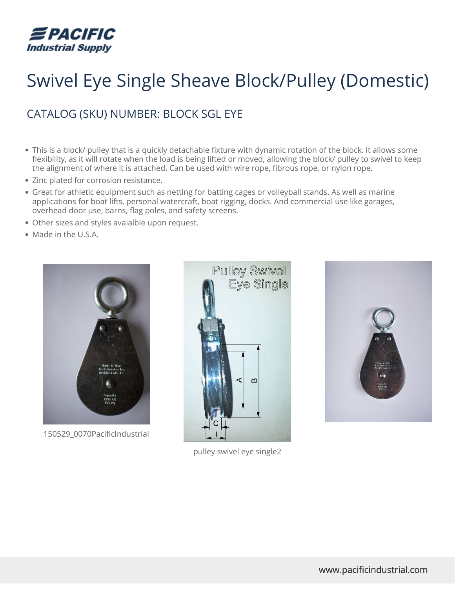

## Swivel Eye Single Sheave Block/Pulley (Domestic)

## CATALOG (SKU) NUMBER: BLOCK SGL EYE

- This is a block/ pulley that is a quickly detachable fixture with dynamic rotation of the block. It allows some flexibility, as it will rotate when the load is being lifted or moved, allowing the block/ pulley to swivel to keep the alignment of where it is attached. Can be used with wire rope, fibrous rope, or nylon rope.
- Zinc plated for corrosion resistance.
- Great for athletic equipment such as netting for batting cages or volleyball stands. As well as marine applications for boat lifts, personal watercraft, boat rigging, docks. And commercial use like garages, overhead door use, barns, flag poles, and safety screens.
- Other sizes and styles avaialble upon request.
- Made in the U.S.A.



150529\_0070PacificIndustrial



pulley swivel eye single2

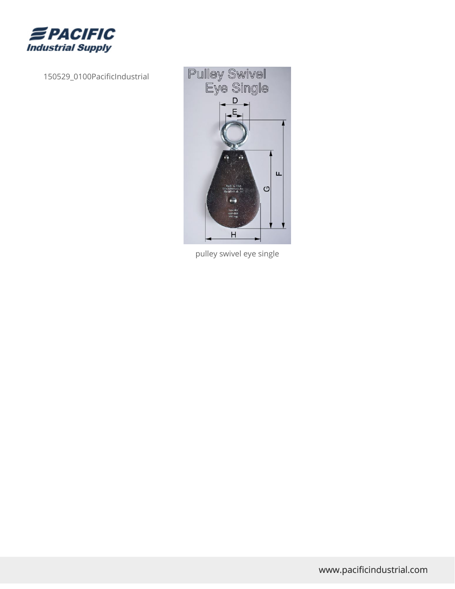

150529\_0100PacificIndustrial



pulley swivel eye single